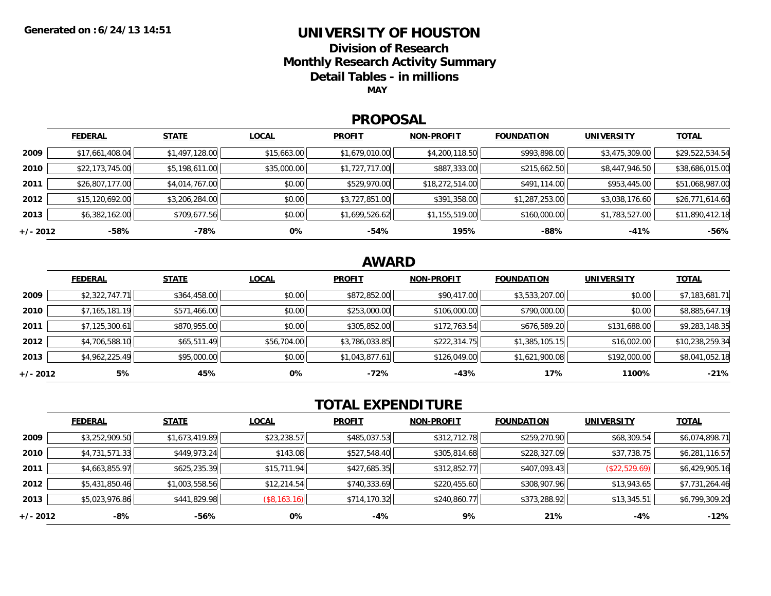### **UNIVERSITY OF HOUSTON**

**Division of Research**

**Monthly Research Activity Summary**

**Detail Tables - in millions**

**MAY**

#### **PROPOSAL**

|            | <b>FEDERAL</b>  | <b>STATE</b>   | <b>LOCAL</b> | <b>PROFIT</b>  | <b>NON-PROFIT</b> | <b>FOUNDATION</b> | <b>UNIVERSITY</b> | <b>TOTAL</b>    |
|------------|-----------------|----------------|--------------|----------------|-------------------|-------------------|-------------------|-----------------|
| 2009       | \$17,661,408.04 | \$1,497,128.00 | \$15,663.00  | \$1,679,010.00 | \$4,200,118.50    | \$993,898.00      | \$3,475,309.00    | \$29,522,534.54 |
| 2010       | \$22,173,745.00 | \$5,198,611.00 | \$35,000.00  | \$1,727,717.00 | \$887,333.00      | \$215,662.50      | \$8,447,946.50    | \$38,686,015.00 |
| 2011       | \$26,807,177.00 | \$4,014,767.00 | \$0.00       | \$529,970.00   | \$18,272,514.00   | \$491,114.00      | \$953,445.00      | \$51,068,987.00 |
| 2012       | \$15,120,692.00 | \$3,206,284.00 | \$0.00       | \$3,727,851.00 | \$391,358.00      | \$1,287,253.00    | \$3,038,176.60    | \$26,771,614.60 |
| 2013       | \$6,382,162.00  | \$709,677.56   | \$0.00       | \$1,699,526.62 | \$1,155,519.00    | \$160,000.00      | \$1,783,527.00    | \$11,890,412.18 |
| $+/- 2012$ | -58%            | -78%           | 0%           | -54%           | 195%              | -88%              | -41%              | $-56%$          |

## **AWARD**

|            | <b>FEDERAL</b> | <b>STATE</b> | <b>LOCAL</b> | <b>PROFIT</b>  | <b>NON-PROFIT</b> | <b>FOUNDATION</b> | <b>UNIVERSITY</b> | <b>TOTAL</b>    |
|------------|----------------|--------------|--------------|----------------|-------------------|-------------------|-------------------|-----------------|
| 2009       | \$2,322,747.71 | \$364,458.00 | \$0.00       | \$872,852.00   | \$90,417.00       | \$3,533,207.00    | \$0.00            | \$7,183,681.71  |
| 2010       | \$7,165,181.19 | \$571,466.00 | \$0.00       | \$253,000.00   | \$106,000.00      | \$790,000.00      | \$0.00            | \$8,885,647.19  |
| 2011       | \$7,125,300.61 | \$870,955.00 | \$0.00       | \$305,852.00   | \$172,763.54      | \$676,589.20      | \$131,688.00      | \$9,283,148.35  |
| 2012       | \$4,706,588.10 | \$65,511.49  | \$56,704.00  | \$3,786,033.85 | \$222,314.75      | \$1,385,105.15    | \$16,002.00       | \$10,238,259.34 |
| 2013       | \$4,962,225.49 | \$95,000.00  | \$0.00       | \$1,043,877.61 | \$126,049.00      | \$1,621,900.08    | \$192,000.00      | \$8,041,052.18  |
| $+/- 2012$ | 5%             | 45%          | 0%           | $-72%$         | $-43%$            | 17%               | 1100%             | $-21%$          |

# **TOTAL EXPENDITURE**

|          | <b>FEDERAL</b> | <b>STATE</b>   | <b>LOCAL</b>        | <b>PROFIT</b> | <b>NON-PROFIT</b> | <b>FOUNDATION</b> | <b>UNIVERSITY</b> | <b>TOTAL</b>   |
|----------|----------------|----------------|---------------------|---------------|-------------------|-------------------|-------------------|----------------|
| 2009     | \$3,252,909.50 | \$1,673,419.89 | \$23,238.57         | \$485,037.53  | \$312,712.78      | \$259,270.90      | \$68,309.54       | \$6,074,898.71 |
| 2010     | \$4,731,571.33 | \$449,973.24   | \$143.08            | \$527,548.40  | \$305,814.68      | \$228,327.09      | \$37,738.75       | \$6,281,116.57 |
| 2011     | \$4,663,855.97 | \$625,235.39   | \$15,711.94         | \$427,685.35  | \$312,852.77      | \$407,093.43      | (\$22,529.69)     | \$6,429,905.16 |
| 2012     | \$5,431,850.46 | \$1,003,558.56 | \$12,214.54         | \$740,333.69  | \$220,455.60      | \$308,907.96      | \$13,943.65       | \$7,731,264.46 |
| 2013     | \$5,023,976.86 | \$441,829.98   | $($ \$8,163.16) $ $ | \$714,170.32  | \$240,860.77      | \$373,288.92      | \$13,345.51       | \$6,799,309.20 |
| +/- 2012 | -8%            | -56%           | 0%                  | -4%           | 9%                | 21%               | -4%               | $-12%$         |